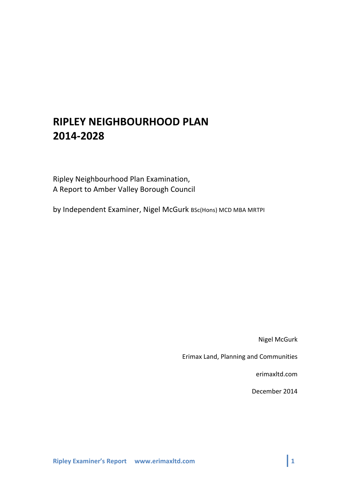# **RIPLEY NEIGHBOURHOOD'PLAN' 2014F2028**

Ripley Neighbourhood Plan Examination, A Report to Amber Valley Borough Council

by Independent Examiner, Nigel McGurk BSc(Hons) MCD MBA MRTPI

**Nigel McGurk** 

Erimax Land, Planning and Communities

erimaxltd.com

December 2014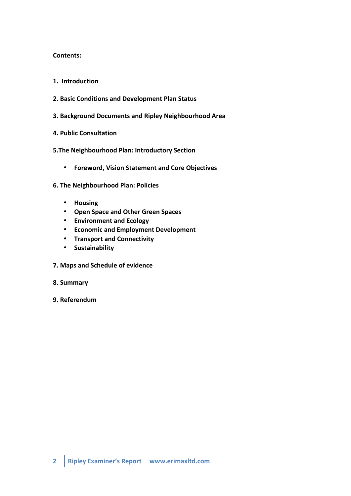#### **Contents:**

- **1.' Introduction'**
- **2. Basic'Conditions and'Development'Plan'Status**
- **3. Background'Documents and Ripley'Neighbourhood'Area**
- **4. Public'Consultation**
- **5.The'Neighbourhood'Plan: Introductory'Section**
	- **Foreword, Vision Statement and Core Objectives**
- **6.'The'Neighbourhood'Plan: Policies**
	- **Housing**
	- **Open'Space'and'Other'Green'Spaces**
	- **Environment'and'Ecology**
	- **Economic'and'Employment'Development**
	- **Transport and'Connectivity**
	- **Sustainability**
- **7. Maps and Schedule of evidence**
- **8. Summary'**
- **9. Referendum**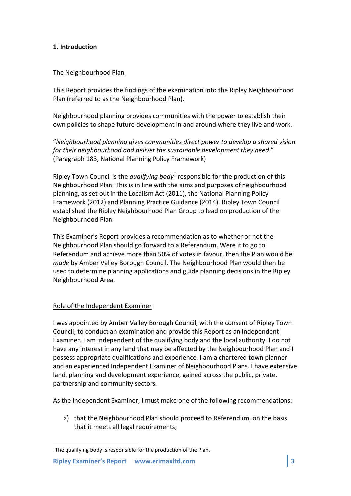## **1. Introduction'**

#### The Neighbourhood Plan

This Report provides the findings of the examination into the Ripley Neighbourhood Plan (referred to as the Neighbourhood Plan).

Neighbourhood planning provides communities with the power to establish their own policies to shape future development in and around where they live and work.

"*Neighbourhood+planning+gives+communities+direct+power+to+develop+a+shared+vision+* for their neighbourhood and deliver the sustainable development they need." (Paragraph 183, National Planning Policy Framework)

Ripley Town Council is the *qualifying body*<sup>1</sup> responsible for the production of this Neighbourhood Plan. This is in line with the aims and purposes of neighbourhood planning, as set out in the Localism Act (2011), the National Planning Policy Framework (2012) and Planning Practice Guidance (2014). Ripley Town Council established the Ripley Neighbourhood Plan Group to lead on production of the Neighbourhood Plan.

This Examiner's Report provides a recommendation as to whether or not the Neighbourhood Plan should go forward to a Referendum. Were it to go to Referendum and achieve more than 50% of votes in favour, then the Plan would be *made* by Amber Valley Borough Council. The Neighbourhood Plan would then be used to determine planning applications and guide planning decisions in the Ripley Neighbourhood Area.

#### Role of the Independent Examiner

I was appointed by Amber Valley Borough Council, with the consent of Ripley Town Council, to conduct an examination and provide this Report as an Independent Examiner. I am independent of the qualifying body and the local authority. I do not have any interest in any land that may be affected by the Neighbourhood Plan and I possess appropriate qualifications and experience. I am a chartered town planner and an experienced Independent Examiner of Neighbourhood Plans. I have extensive land, planning and development experience, gained across the public, private, partnership and community sectors.

As the Independent Examiner, I must make one of the following recommendations:

a) that the Neighbourhood Plan should proceed to Referendum, on the basis that it meets all legal requirements;

!!!!!!!!!!!!!!!!!!!!!!!!!!!!!!!!!!!!!!!!!!!!!!!!!!!!!!!

<sup>&</sup>lt;sup>1</sup>The qualifying body is responsible for the production of the Plan.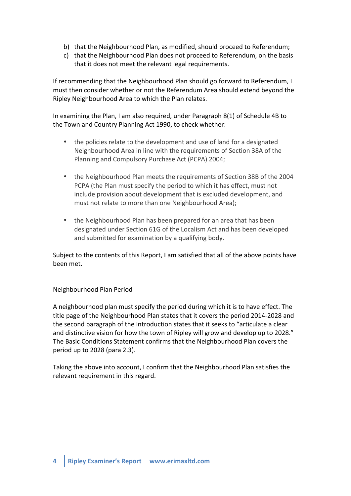- b) that the Neighbourhood Plan, as modified, should proceed to Referendum;
- c) that the Neighbourhood Plan does not proceed to Referendum, on the basis that it does not meet the relevant legal requirements.

If recommending that the Neighbourhood Plan should go forward to Referendum, I must then consider whether or not the Referendum Area should extend beyond the Ripley Neighbourhood Area to which the Plan relates.

In examining the Plan, I am also required, under Paragraph  $8(1)$  of Schedule 4B to the Town and Country Planning Act 1990, to check whether:

- the policies relate to the development and use of land for a designated Neighbourhood Area in line with the requirements of Section 38A of the Planning and Compulsory Purchase Act (PCPA) 2004;
- the Neighbourhood Plan meets the requirements of Section 38B of the 2004 PCPA (the Plan must specify the period to which it has effect, must not include provision about development that is excluded development, and must not relate to more than one Neighbourhood Area);
- the Neighbourhood Plan has been prepared for an area that has been designated under Section 61G of the Localism Act and has been developed and submitted for examination by a qualifying body.

Subject to the contents of this Report, I am satisfied that all of the above points have been!met.

## Neighbourhood Plan Period

A neighbourhood plan must specify the period during which it is to have effect. The title page of the Neighbourhood Plan states that it covers the period 2014-2028 and the second paragraph of the Introduction states that it seeks to "articulate a clear and distinctive vision for how the town of Ripley will grow and develop up to 2028." The Basic Conditions Statement confirms that the Neighbourhood Plan covers the period up to 2028 (para 2.3).

Taking the above into account, I confirm that the Neighbourhood Plan satisfies the relevant requirement in this regard.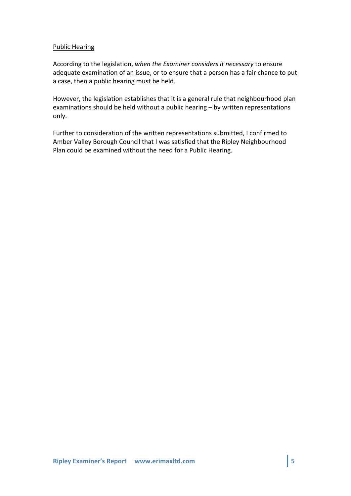#### Public Hearing

According to the legislation, when the Examiner considers it necessary to ensure adequate examination of an issue, or to ensure that a person has a fair chance to put a case, then a public hearing must be held.

However, the legislation establishes that it is a general rule that neighbourhood plan examinations should be held without a public hearing – by written representations only.

Further to consideration of the written representations submitted, I confirmed to Amber Valley Borough Council that I was satisfied that the Ripley Neighbourhood Plan could be examined without the need for a Public Hearing.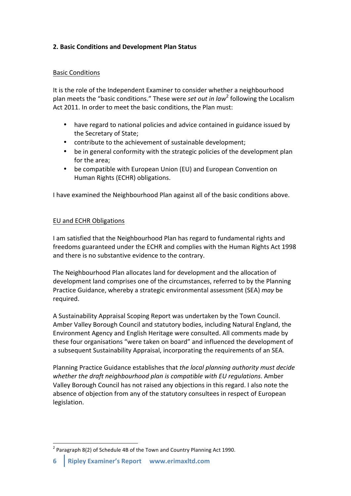## **2. Basic Conditions and Development Plan Status**

#### Basic!Conditions

It is the role of the Independent Examiner to consider whether a neighbourhood plan meets the "basic conditions." These were *set out in law*<sup>2</sup> following the Localism Act 2011. In order to meet the basic conditions, the Plan must:

- have regard to national policies and advice contained in guidance issued by the Secretary of State:
- contribute to the achievement of sustainable development;
- be in general conformity with the strategic policies of the development plan for the area:
- be compatible with European Union (EU) and European Convention on Human Rights (ECHR) obligations.

I have examined the Neighbourhood Plan against all of the basic conditions above.

## EU and ECHR Obligations

I am satisfied that the Neighbourhood Plan has regard to fundamental rights and freedoms guaranteed under the ECHR and complies with the Human Rights Act 1998 and there is no substantive evidence to the contrary.

The Neighbourhood Plan allocates land for development and the allocation of development land comprises one of the circumstances, referred to by the Planning Practice Guidance, whereby a strategic environmental assessment (SEA) *may* be required.

A Sustainability Appraisal Scoping Report was undertaken by the Town Council. Amber Valley Borough Council and statutory bodies, including Natural England, the Environment Agency and English Heritage were consulted. All comments made by these four organisations "were taken on board" and influenced the development of a subsequent Sustainability Appraisal, incorporating the requirements of an SEA.

Planning Practice Guidance establishes that *the local planning authority must decide* whether the draft neighbourhood plan is compatible with EU regulations. Amber Valley Borough Council has not raised any objections in this regard. I also note the absence of objection from any of the statutory consultees in respect of European legislation.

 $1$  Paragraph 8(2) of Schedule 4B of the Town and Country Planning Act 1990.

**<sup>6</sup>** Ripley Examiner's Report www.erimaxltd.com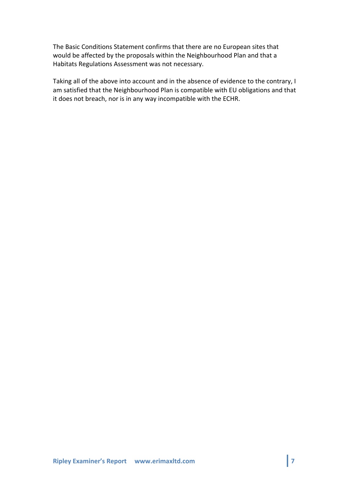The Basic Conditions Statement confirms that there are no European sites that would be affected by the proposals within the Neighbourhood Plan and that a Habitats Regulations Assessment was not necessary.

Taking all of the above into account and in the absence of evidence to the contrary, I am satisfied that the Neighbourhood Plan is compatible with EU obligations and that it does not breach, nor is in any way incompatible with the ECHR.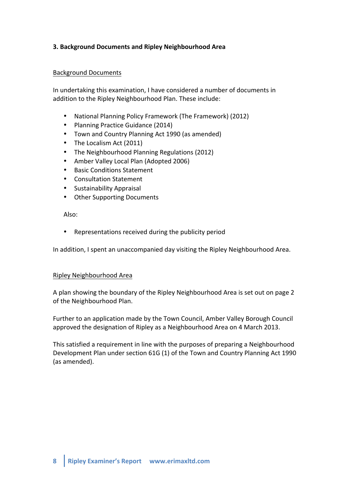## **3. Background'Documents and'Ripley Neighbourhood'Area**

#### Background!Documents

In undertaking this examination, I have considered a number of documents in addition to the Ripley Neighbourhood Plan. These include:

- National Planning Policy Framework (The Framework) (2012)
- Planning Practice Guidance (2014)
- Town and Country Planning Act 1990 (as amended)
- The Localism Act (2011)
- The Neighbourhood Planning Regulations (2012)
- Amber Valley Local Plan (Adopted 2006)
- Basic Conditions Statement
- Consultation Statement
- Sustainability Appraisal
- Other Supporting Documents

Also:

• Representations received during the publicity period

In addition, I spent an unaccompanied day visiting the Ripley Neighbourhood Area.

#### Ripley Neighbourhood!Area

A plan showing the boundary of the Ripley Neighbourhood Area is set out on page 2 of the Neighbourhood Plan.

Further to an application made by the Town Council, Amber Valley Borough Council approved the designation of Ripley as a Neighbourhood Area on 4 March 2013.

This satisfied a requirement in line with the purposes of preparing a Neighbourhood Development Plan under section 61G (1) of the Town and Country Planning Act 1990 (as amended).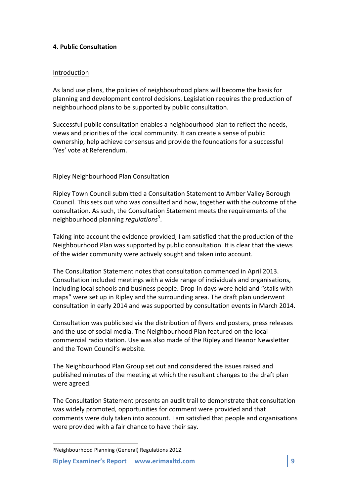## **4. Public'Consultation**

#### Introduction

As land use plans, the policies of neighbourhood plans will become the basis for planning and development control decisions. Legislation requires the production of neighbourhood plans to be supported by public consultation.

Successful public consultation enables a neighbourhood plan to reflect the needs, views and priorities of the local community. It can create a sense of public ownership, help achieve consensus and provide the foundations for a successful 'Yes' vote at Referendum.

#### Ripley Neighbourhood Plan Consultation

Ripley Town Council submitted a Consultation Statement to Amber Valley Borough Council. This sets out who was consulted and how, together with the outcome of the consultation. As such, the Consultation Statement meets the requirements of the neighbourhood planning *regulations*<sup>3</sup>.

Taking into account the evidence provided, I am satisfied that the production of the Neighbourhood Plan was supported by public consultation. It is clear that the views of the wider community were actively sought and taken into account.

The Consultation Statement notes that consultation commenced in April 2013. Consultation included meetings with a wide range of individuals and organisations, including local schools and business people. Drop-in days were held and "stalls with maps" were set up in Ripley and the surrounding area. The draft plan underwent consultation in early 2014 and was supported by consultation events in March 2014.

Consultation was publicised via the distribution of flyers and posters, press releases and the use of social media. The Neighbourhood Plan featured on the local commercial radio station. Use was also made of the Ripley and Heanor Newsletter and the Town Council's website.

The Neighbourhood Plan Group set out and considered the issues raised and published minutes of the meeting at which the resultant changes to the draft plan were agreed.

The Consultation Statement presents an audit trail to demonstrate that consultation was widely promoted, opportunities for comment were provided and that comments were duly taken into account. I am satisfied that people and organisations were provided with a fair chance to have their say.

!!!!!!!!!!!!!!!!!!!!!!!!!!!!!!!!!!!!!!!!!!!!!!!!!!!!!!!

<sup>&</sup>lt;sup>3</sup>Neighbourhood Planning (General) Regulations 2012.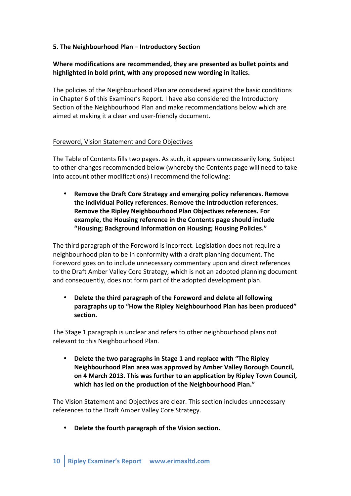## **5. The'Neighbourhood'Plan'– Introductory'Section**

## Where modifications are recommended, they are presented as bullet points and highlighted in bold print, with any proposed new wording in italics.

The policies of the Neighbourhood Plan are considered against the basic conditions in Chapter 6 of this Examiner's Report. I have also considered the Introductory Section of the Neighbourhood Plan and make recommendations below which are aimed at making it a clear and user-friendly document.

#### Foreword, Vision Statement and Core Objectives

The Table of Contents fills two pages. As such, it appears unnecessarily long. Subject to other changes recommended below (whereby the Contents page will need to take into account other modifications) I recommend the following:

**Remove the Draft Core Strategy and emerging policy references. Remove** the individual Policy references. Remove the Introduction references. Remove the Ripley Neighbourhood Plan Objectives references. For **example,'the'Housing'reference'in'the'Contents'page'should'include'** "Housing; Background Information on Housing; Housing Policies."

The third paragraph of the Foreword is incorrect. Legislation does not require a neighbourhood plan to be in conformity with a draft planning document. The Foreword goes on to include unnecessary commentary upon and direct references to the Draft Amber Valley Core Strategy, which is not an adopted planning document and consequently, does not form part of the adopted development plan.

**Delete the third paragraph of the Foreword and delete all following paragraphs'up'to'"How'the'Ripley'Neighbourhood'Plan'has'been produced"' section.**

The Stage 1 paragraph is unclear and refers to other neighbourhood plans not relevant to this Neighbourhood Plan.

**Delete the two paragraphs in Stage 1 and replace with "The Ripley' Neighbourhood'Plan'area'was'approved'by'Amber'Valley'Borough Council,' on'4'March'2013.'This'was further'to'an'application'by'Ripley'Town'Council,'** which has led on the production of the Neighbourhood Plan."

The Vision Statement and Objectives are clear. This section includes unnecessary references to the Draft Amber Valley Core Strategy.

• Delete the fourth paragraph of the Vision section.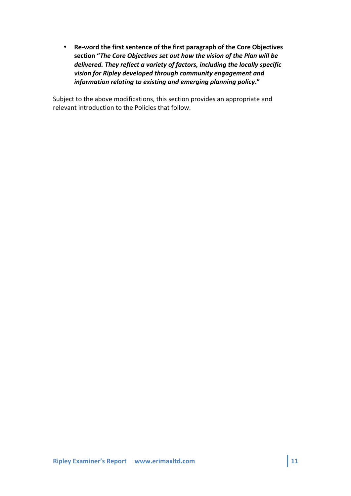• Re-word the first sentence of the first paragraph of the Core Objectives section "The Core Objectives set out how the vision of the Plan will be delivered. They reflect a variety of factors, including the locally specific vision for Ripley developed through community engagement and *information relating to existing and emerging planning policy."* 

Subject to the above modifications, this section provides an appropriate and relevant introduction to the Policies that follow.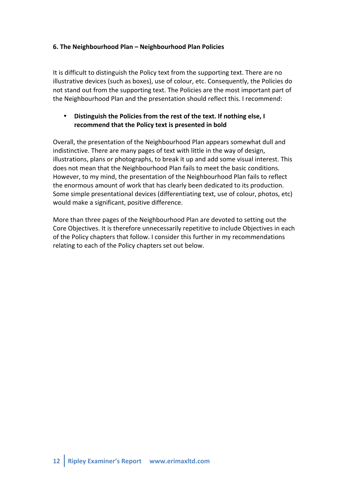## **6. The'Neighbourhood'Plan'– Neighbourhood'Plan'Policies**

It is difficult to distinguish the Policy text from the supporting text. There are no illustrative devices (such as boxes), use of colour, etc. Consequently, the Policies do not stand out from the supporting text. The Policies are the most important part of the Neighbourhood Plan and the presentation should reflect this. I recommend:

## Distinguish the Policies from the rest of the text. If nothing else, I recommend that the Policy text is presented in bold

Overall, the presentation of the Neighbourhood Plan appears somewhat dull and indistinctive. There are many pages of text with little in the way of design, illustrations, plans or photographs, to break it up and add some visual interest. This does not mean that the Neighbourhood Plan fails to meet the basic conditions. However, to my mind, the presentation of the Neighbourhood Plan fails to reflect the enormous amount of work that has clearly been dedicated to its production. Some simple presentational devices (differentiating text, use of colour, photos, etc) would make a significant, positive difference.

More than three pages of the Neighbourhood Plan are devoted to setting out the Core Objectives. It is therefore unnecessarily repetitive to include Objectives in each of the Policy chapters that follow. I consider this further in my recommendations relating to each of the Policy chapters set out below.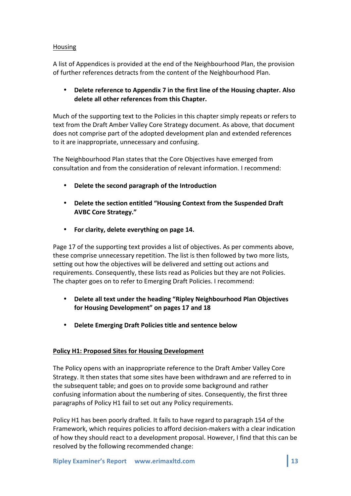## Housing

A list of Appendices is provided at the end of the Neighbourhood Plan, the provision of further references detracts from the content of the Neighbourhood Plan.

## **Delete reference to Appendix 7 in the first line of the Housing chapter. Also delete'all'other references'from'this'Chapter.'**

Much of the supporting text to the Policies in this chapter simply repeats or refers to text from the Draft Amber Valley Core Strategy document. As above, that document does not comprise part of the adopted development plan and extended references to it are inappropriate, unnecessary and confusing.

The Neighbourhood Plan states that the Core Objectives have emerged from consultation and from the consideration of relevant information. I recommend:

- **Delete the second paragraph of the Introduction**
- Delete the section entitled "Housing Context from the Suspended Draft AVBC Core Strategy."
- For clarity, delete everything on page 14.

Page 17 of the supporting text provides a list of objectives. As per comments above, these comprise unnecessary repetition. The list is then followed by two more lists, setting out how the objectives will be delivered and setting out actions and requirements. Consequently, these lists read as Policies but they are not Policies. The chapter goes on to refer to Emerging Draft Policies. I recommend:

- **Delete all text under the heading "Ripley Neighbourhood Plan Objectives** for Housing Development" on pages 17 and 18
- **Delete'Emerging'Draft'Policies'title'and'sentence'below**

## Policy H1: Proposed Sites for Housing Development

The Policy opens with an inappropriate reference to the Draft Amber Valley Core Strategy. It then states that some sites have been withdrawn and are referred to in the subsequent table; and goes on to provide some background and rather confusing information about the numbering of sites. Consequently, the first three paragraphs of Policy H1 fail to set out any Policy requirements.

Policy H1 has been poorly drafted. It fails to have regard to paragraph 154 of the Framework, which requires policies to afford decision-makers with a clear indication of how they should react to a development proposal. However, I find that this can be resolved by the following recommended change: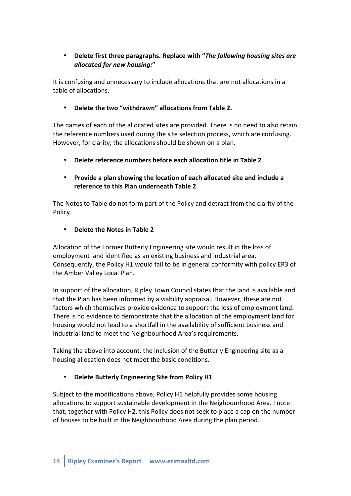# • Delete first three paragraphs. Replace with "*The following housing sites are allocated!for!new!housing:***"**

It is confusing and unnecessary to include allocations that are not allocations in a table of allocations.

## • **Delete'the'two'"withdrawn"'allocations'from'Table'2.**

The names of each of the allocated sites are provided. There is no need to also retain the reference numbers used during the site selection process, which are confusing. However, for clarity, the allocations should be shown on a plan.

**Delete reference numbers before each allocation title in Table 2** 

# • Provide a plan showing the location of each allocated site and include a **reference'to'this'Plan'underneath'Table'2**

The Notes to Table do not form part of the Policy and detract from the clarity of the Policy.

## • **Delete the Notes in Table 2**

Allocation of the Former Butterly Engineering site would result in the loss of employment land identified as an existing business and industrial area. Consequently, the Policy H1 would fail to be in general conformity with policy ER3 of the Amber Valley Local Plan.

In support of the allocation, Ripley Town Council states that the land is available and that the Plan has been informed by a viability appraisal. However, these are not factors which themselves provide evidence to support the loss of employment land. There is no evidence to demonstrate that the allocation of the employment land for housing would not lead to a shortfall in the availability of sufficient business and industrial land to meet the Neighbourhood Area's requirements.

Taking the above into account, the inclusion of the Butterly Engineering site as a housing allocation does not meet the basic conditions.

## • Delete Butterly Engineering Site from Policy H1

Subject to the modifications above, Policy H1 helpfully provides some housing allocations to support sustainable development in the Neighbourhood Area. I note that, together with Policy H2, this Policy does not seek to place a cap on the number of houses to be built in the Neighbourhood Area during the plan period.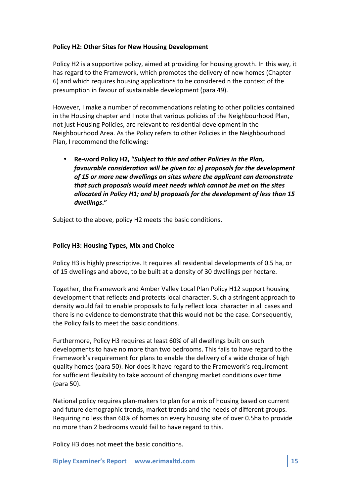## Policy H2: Other Sites for New Housing Development

Policy H2 is a supportive policy, aimed at providing for housing growth. In this way, it has regard to the Framework, which promotes the delivery of new homes (Chapter 6) and which requires housing applications to be considered n the context of the presumption in favour of sustainable development (para 49).

However, I make a number of recommendations relating to other policies contained in the Housing chapter and I note that various policies of the Neighbourhood Plan, not just Housing Policies, are relevant to residential development in the Neighbourhood Area. As the Policy refers to other Policies in the Neighbourhood Plan, I recommend the following:

Re-word Policy H2, "*Subject to this and other Policies in the Plan, favourable consideration will be given to: a) proposals for the development* of 15 or more new dwellings on sites where the applicant can demonstrate *that such proposals would meet needs which cannot be met on the sites allocated in Policy H1; and b) proposals for the development of less than 15 dwellings***."**

Subject to the above, policy H2 meets the basic conditions.

#### Policy H3: Housing Types, Mix and Choice

Policy H3 is highly prescriptive. It requires all residential developments of 0.5 ha, or of 15 dwellings and above, to be built at a density of 30 dwellings per hectare.

Together, the Framework and Amber Valley Local Plan Policy H12 support housing development that reflects and protects local character. Such a stringent approach to density would fail to enable proposals to fully reflect local character in all cases and there is no evidence to demonstrate that this would not be the case. Consequently, the Policy fails to meet the basic conditions.

Furthermore, Policy H3 requires at least 60% of all dwellings built on such developments to have no more than two bedrooms. This fails to have regard to the Framework's requirement for plans to enable the delivery of a wide choice of high quality homes (para 50). Nor does it have regard to the Framework's requirement for sufficient flexibility to take account of changing market conditions over time (para 50).

National policy requires plan-makers to plan for a mix of housing based on current and future demographic trends, market trends and the needs of different groups. Requiring no less than 60% of homes on every housing site of over 0.5ha to provide no more than 2 bedrooms would fail to have regard to this.

Policy H3 does not meet the basic conditions.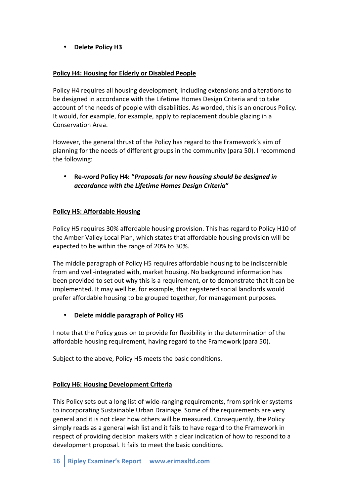• Delete Policy H3

## Policy H4: Housing for Elderly or Disabled People

Policy H4 requires all housing development, including extensions and alterations to be designed in accordance with the Lifetime Homes Design Criteria and to take account of the needs of people with disabilities. As worded, this is an onerous Policy. It would, for example, for example, apply to replacement double glazing in a Conservation Area.

However, the general thrust of the Policy has regard to the Framework's aim of planning for the needs of different groups in the community (para 50). I recommend the following:

**Re-word Policy H4: "Proposals for new housing should be designed in** *accordance!with!the!Lifetime!Homes!Design!Criteria***"**

## Policy H5: Affordable Housing

Policy H5 requires 30% affordable housing provision. This has regard to Policy H10 of the Amber Valley Local Plan, which states that affordable housing provision will be expected to be within the range of 20% to 30%.

The middle paragraph of Policy H5 requires affordable housing to be indiscernible from and well-integrated with, market housing. No background information has been provided to set out why this is a requirement, or to demonstrate that it can be implemented. It may well be, for example, that registered social landlords would prefer affordable housing to be grouped together, for management purposes.

## **Delete middle paragraph of Policy H5**

I note that the Policy goes on to provide for flexibility in the determination of the affordable housing requirement, having regard to the Framework (para 50).

Subject to the above, Policy H5 meets the basic conditions.

## Policy H6: Housing Development Criteria

This Policy sets out a long list of wide-ranging requirements, from sprinkler systems to incorporating Sustainable Urban Drainage. Some of the requirements are very general and it is not clear how others will be measured. Consequently, the Policy simply reads as a general wish list and it fails to have regard to the Framework in respect of providing decision makers with a clear indication of how to respond to a development proposal. It fails to meet the basic conditions.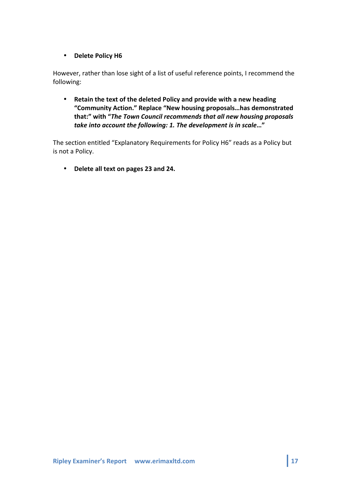## • **Delete Policy H6**

However, rather than lose sight of a list of useful reference points, I recommend the following:

• Retain the text of the deleted Policy and provide with a new heading **"Community'Action."'Replace'"New'housing'proposals…has'demonstrated'** that:" with "*The Town Council recommends that all new housing proposals* take into account the following: 1. The development is in scale..."

The section entitled "Explanatory Requirements for Policy H6" reads as a Policy but is not a Policy.

• Delete all text on pages 23 and 24.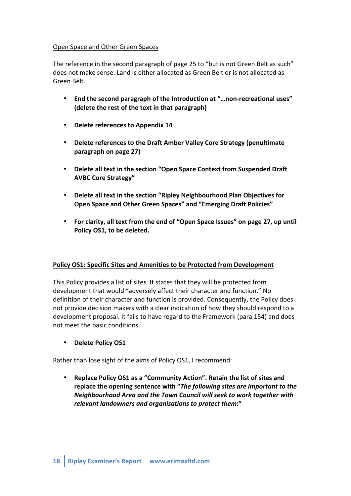#### Open Space and Other Green Spaces

The reference in the second paragraph of page 25 to "but is not Green Belt as such" does not make sense. Land is either allocated as Green Belt or is not allocated as Green Relt

- **End the second paragraph of the Introduction at "... non-recreational uses"** (delete the rest of the text in that paragraph)
- Delete references to Appendix 14
- Delete references to the Draft Amber Valley Core Strategy (penultimate) **paragraph'on'page'27)**
- Delete all text in the section "Open Space Context from Suspended Draft **AVBC Core Strategy"**
- Delete all text in the section "Ripley Neighbourhood Plan Objectives for **Open'Space'and'Other'Green'Spaces" and'"Emerging'Draft'Policies"**
- For clarity, all text from the end of "Open Space Issues" on page 27, up until Policy OS1, to be deleted.

## **Policy'OS1:'Specific'Sites'and'Amenities'to be'Protected'from'Development**

This Policy provides a list of sites. It states that they will be protected from development that would "adversely affect their character and function." No definition of their character and function is provided. Consequently, the Policy does not provide decision makers with a clear indication of how they should respond to a development proposal. It fails to have regard to the Framework (para 154) and does not meet the basic conditions.

• **Delete Policy OS1** 

Rather than lose sight of the aims of Policy OS1, I recommend:

**Replace Policy OS1 as a "Community Action". Retain the list of sites and** replace the opening sentence with "*The following sites are important to the Neighbourhood Area and the Town Council will seek to work together with relevant landowners and organisations to protect them*:"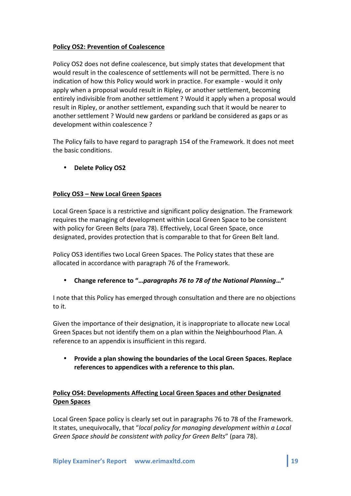## Policy OS2: Prevention of Coalescence

Policy OS2 does not define coalescence, but simply states that development that would result in the coalescence of settlements will not be permitted. There is no indication of how this Policy would work in practice. For example - would it only apply when a proposal would result in Ripley, or another settlement, becoming entirely indivisible from another settlement ? Would it apply when a proposal would result in Ripley, or another settlement, expanding such that it would be nearer to another settlement ? Would new gardens or parkland be considered as gaps or as development within coalescence ?

The Policy fails to have regard to paragraph 154 of the Framework. It does not meet the basic conditions.

• **Delete'Policy'OS2**

## **Policy'OS3'– New'Local'Green'Spaces**

Local Green Space is a restrictive and significant policy designation. The Framework requires the managing of development within Local Green Space to be consistent with policy for Green Belts (para 78). Effectively, Local Green Space, once designated, provides protection that is comparable to that for Green Belt land.

Policy OS3 identifies two Local Green Spaces. The Policy states that these are allocated in accordance with paragraph 76 of the Framework.

• **Change'reference'to'"…***paragraphs!76!to!78!of!the!National!Planning***…"**

I note that this Policy has emerged through consultation and there are no objections to it.

Given the importance of their designation, it is inappropriate to allocate new Local Green Spaces but not identify them on a plan within the Neighbourhood Plan. A reference to an appendix is insufficient in this regard.

• **Provide'a'plan'showing'the'boundaries'of'the'Local'Green'Spaces.'Replace'** references to appendices with a reference to this plan.

# Policy OS4: Developments Affecting Local Green Spaces and other Designated **Open Spaces**

Local Green Space policy is clearly set out in paragraphs 76 to 78 of the Framework. It states, unequivocally, that "local policy for managing development within a Local *Green Space should be consistent with policy for Green Belts"* (para 78).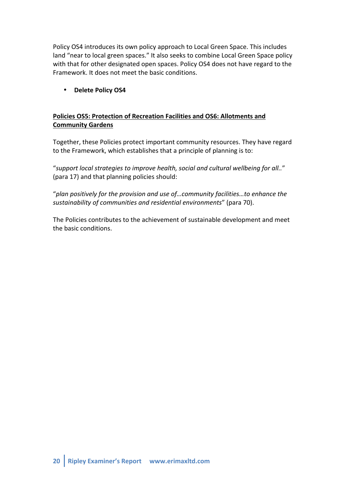Policy OS4 introduces its own policy approach to Local Green Space. This includes land "near to local green spaces." It also seeks to combine Local Green Space policy with that for other designated open spaces. Policy OS4 does not have regard to the Framework. It does not meet the basic conditions.

## • **Delete'Policy'OS4**

# **Policies OS5: Protection of Recreation Facilities and OS6: Allotments and Community'Gardens**

Together, these Policies protect important community resources. They have regard to the Framework, which establishes that a principle of planning is to:

"support local strategies to improve health, social and cultural wellbeing for all.." (para 17) and that planning policies should:

"plan positively for the provision and use of...community facilities...to enhance the sustainability of communities and residential environments" (para 70).

The Policies contributes to the achievement of sustainable development and meet the basic conditions.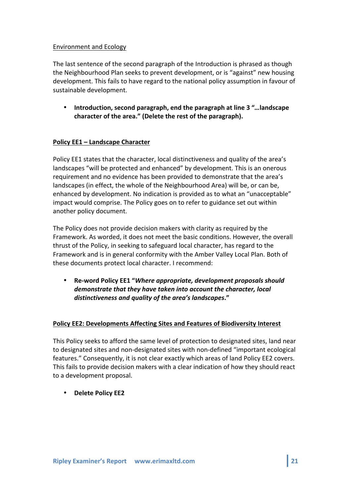## Environment!and!Ecology

The last sentence of the second paragraph of the Introduction is phrased as though the Neighbourhood Plan seeks to prevent development, or is "against" new housing development. This fails to have regard to the national policy assumption in favour of sustainable development.

• **Introduction,'second'paragraph,'end the'paragraph'at'line'3'"***…***landscape'** character of the area." (Delete the rest of the paragraph).

## **Policy EE1** – Landscape Character

Policy EE1 states that the character, local distinctiveness and quality of the area's landscapes "will be protected and enhanced" by development. This is an onerous requirement and no evidence has been provided to demonstrate that the area's landscapes (in effect, the whole of the Neighbourhood Area) will be, or can be, enhanced by development. No indication is provided as to what an "unacceptable" impact would comprise. The Policy goes on to refer to guidance set out within another policy document.

The Policy does not provide decision makers with clarity as required by the Framework. As worded, it does not meet the basic conditions. However, the overall thrust of the Policy, in seeking to safeguard local character, has regard to the Framework and is in general conformity with the Amber Valley Local Plan. Both of these documents protect local character. I recommend:

• Re-word Policy EE1 "*Where appropriate, development proposals should demonstrate that they have taken into account the character, local distinctiveness!and!quality!of!the!area's!landscapes***."**

## Policy EE2: Developments Affecting Sites and Features of Biodiversity Interest

This Policy seeks to afford the same level of protection to designated sites, land near to designated sites and non-designated sites with non-defined "important ecological features." Consequently, it is not clear exactly which areas of land Policy EE2 covers. This fails to provide decision makers with a clear indication of how they should react to a development proposal.

• **Delete'Policy'EE2**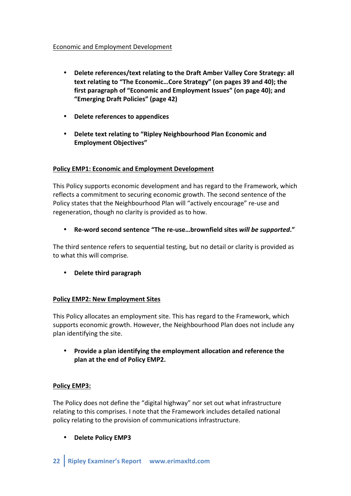#### Economic and Employment Development

- Delete references/text relating to the Draft Amber Valley Core Strategy: all text relating to "The Economic...Core Strategy" (on pages 39 and 40); the first paragraph of "Economic and Employment Issues" (on page 40); and **"Emerging'Draft'Policies"'(page'42)**
- **Delete references to appendices**
- Delete text relating to "Ripley Neighbourhood Plan Economic and **Employment'Objectives"'**

## Policy EMP1: Economic and Employment Development

This Policy supports economic development and has regard to the Framework, which reflects a commitment to securing economic growth. The second sentence of the Policy states that the Neighbourhood Plan will "actively encourage" re-use and regeneration, though no clarity is provided as to how.

Re-word second sentence "The re-use...brownfield sites will be supported."

The third sentence refers to sequential testing, but no detail or clarity is provided as to what this will comprise.

• **Delete'third'paragraph'**

## Policy EMP2: New Employment Sites

This Policy allocates an employment site. This has regard to the Framework, which supports economic growth. However, the Neighbourhood Plan does not include any plan identifying the site.

Provide a plan identifying the employment allocation and reference the plan at the end of Policy EMP2.

#### **Policy'EMP3:'**

The Policy does not define the "digital highway" nor set out what infrastructure relating to this comprises. I note that the Framework includes detailed national policy relating to the provision of communications infrastructure.

**Delete Policy EMP3**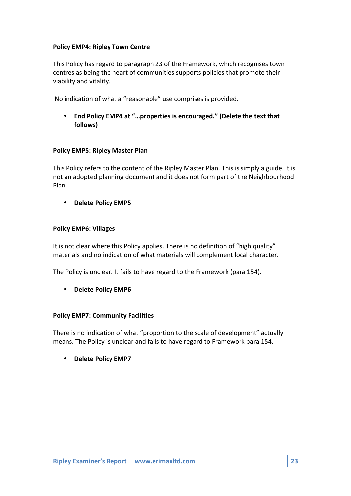## **Policy EMP4: Ripley Town Centre**

This Policy has regard to paragraph 23 of the Framework, which recognises town centres as being the heart of communities supports policies that promote their viability and vitality.

No indication of what a "reasonable" use comprises is provided.

• End Policy EMP4 at "...properties is encouraged." (Delete the text that **follows)**

#### **Policy EMP5: Ripley Master Plan**

This Policy refers to the content of the Ripley Master Plan. This is simply a guide. It is not an adopted planning document and it does not form part of the Neighbourhood Plan.!

• **Delete'Policy'EMP5'**

#### Policy **EMP6: Villages**

It is not clear where this Policy applies. There is no definition of "high quality" materials and no indication of what materials will complement local character.

The Policy is unclear. It fails to have regard to the Framework (para 154).

• **Delete Policy EMP6** 

## **Policy EMP7: Community Facilities**

There is no indication of what "proportion to the scale of development" actually means. The Policy is unclear and fails to have regard to Framework para 154.

• **Delete Policy EMP7**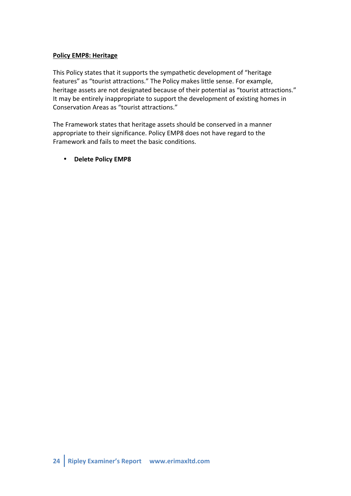#### **Policy EMP8: Heritage**

This Policy states that it supports the sympathetic development of "heritage features" as "tourist attractions." The Policy makes little sense. For example, heritage assets are not designated because of their potential as "tourist attractions." It may be entirely inappropriate to support the development of existing homes in Conservation Areas as "tourist attractions."

The Framework states that heritage assets should be conserved in a manner appropriate to their significance. Policy EMP8 does not have regard to the Framework and fails to meet the basic conditions.

#### • **Delete'Policy'EMP8**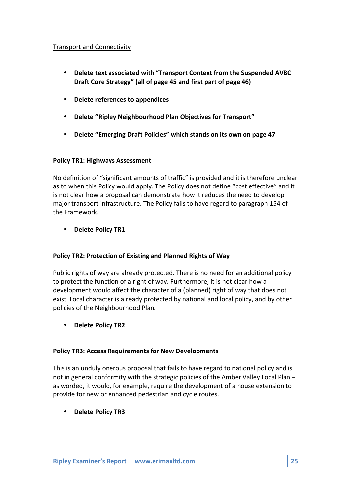#### Transport and Connectivity

- Delete text associated with "Transport Context from the Suspended AVBC Draft Core Strategy" (all of page 45 and first part of page 46)
- **Delete references to appendices**
- **Delete "Ripley Neighbourhood Plan Objectives for Transport"**
- Delete "Emerging Draft Policies" which stands on its own on page 47

#### **Policy TR1: Highways Assessment**

No definition of "significant amounts of traffic" is provided and it is therefore unclear as to when this Policy would apply. The Policy does not define "cost effective" and it is not clear how a proposal can demonstrate how it reduces the need to develop major transport infrastructure. The Policy fails to have regard to paragraph 154 of the Framework.

## • **Delete Policy TR1**

## Policy TR2: Protection of Existing and Planned Rights of Way

Public rights of way are already protected. There is no need for an additional policy to protect the function of a right of way. Furthermore, it is not clear how a development would affect the character of a (planned) right of way that does not exist. Local character is already protected by national and local policy, and by other policies of the Neighbourhood Plan.

• **Delete'Policy'TR2**

# **Policy TR3: Access Requirements for New Developments**

This is an unduly onerous proposal that fails to have regard to national policy and is not in general conformity with the strategic policies of the Amber Valley Local Plan – as worded, it would, for example, require the development of a house extension to provide for new or enhanced pedestrian and cycle routes.

• **Delete Policy TR3**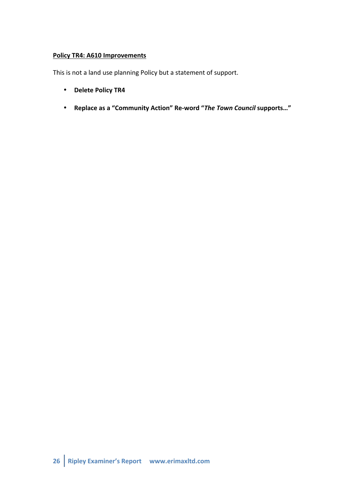# **Policy TR4: A610 Improvements**

This is not a land use planning Policy but a statement of support.

- **Delete Policy TR4**
- Replace as a "Community Action" Re-word "The Town Council supports..."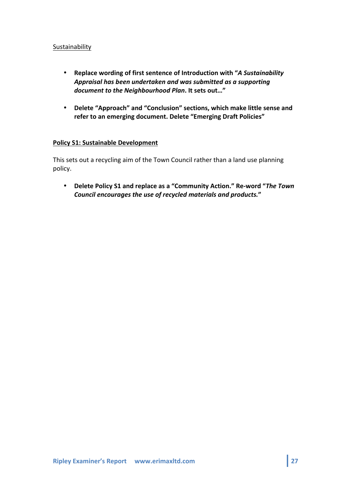#### Sustainability

- Replace wording of first sentence of Introduction with "A Sustainability Appraisal has been undertaken and was submitted as a supporting *document to the Neighbourhood Plan. It sets out..."*
- Delete "Approach" and "Conclusion" sections, which make little sense and refer to an emerging document. Delete "Emerging Draft Policies"

#### **Policy S1: Sustainable Development**

This sets out a recycling aim of the Town Council rather than a land use planning policy.

• Delete Policy S1 and replace as a "Community Action." Re-word "The Town *Council!encourages!the!use!of!recycled!materials!and!products.***"**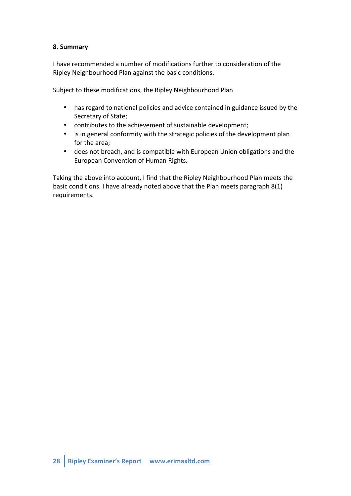## **8.'Summary'**

I have recommended a number of modifications further to consideration of the Ripley Neighbourhood Plan against the basic conditions.

Subject to these modifications, the Ripley Neighbourhood Plan

- has regard to national policies and advice contained in guidance issued by the Secretary of State;
- contributes to the achievement of sustainable development;
- is in general conformity with the strategic policies of the development plan for the area;
- does not breach, and is compatible with European Union obligations and the European Convention of Human Rights.

Taking the above into account, I find that the Ripley Neighbourhood Plan meets the basic conditions. I have already noted above that the Plan meets paragraph  $8(1)$ requirements.